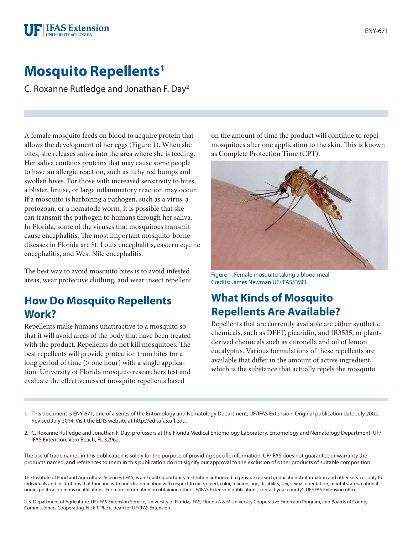#### **FIFAS** Extension **JNIVERSITY of FLORIDA**

# **Mosquito Repellents1**

C. Roxanne Rutledge and Jonathan F. Day2

A female mosquito feeds on blood to acquire protein that allows the development of her eggs (Figure 1). When she bites, she releases saliva into the area where she is feeding. Her saliva contains proteins that may cause some people to have an allergic reaction, such as itchy red bumps and swollen hives. For those with increased sensitivity to bites, a blister, bruise, or large inflammatory reaction may occur. If a mosquito is harboring a pathogen, such as a virus, a protozoan, or a nematode worm, it is possible that she can transmit the pathogen to humans through her saliva. In Florida, some of the viruses that mosquitoes transmit cause encephalitis. The most important mosquito-borne diseases in Florida are St. Louis encephalitis, eastern equine encephalitis, and West Nile encephalitis.

The best way to avoid mosquito bites is to avoid infested areas, wear protective clothing, and wear insect repellent.

#### **How Do Mosquito Repellents Work?**

Repellents make humans unattractive to a mosquito so that it will avoid areas of the body that have been treated with the product. Repellents do not kill mosquitoes. The best repellents will provide protection from bites for a long period of time ( $>$  one hour) with a single application. University of Florida mosquito researchers test and evaluate the effectiveness of mosquito repellents based

on the amount of time the product will continue to repel mosquitoes after one application to the skin. This is known as Complete Protection Time (CPT).



Figure 1. Female mosquito taking a blood meal Credits: James Newman UF/IFAS/FMEL

## **What Kinds of Mosquito Repellents Are Available?**

Repellents that are currently available are either synthetic chemicals, such as DEET, picaridin, and IR3535, or plantderived chemicals such as citronella and oil of lemon eucalyptus. Various formulations of these repellents are available that differ in the amount of active ingredient, which is the substance that actually repels the mosquito.

- 1. This document is ENY-671, one of a series of the Entomology and Nematology Department, UF/IFAS Extension. Original publication date July 2002. Revised July 2014. Visit the EDIS website at http://edis.ifas.ufl.edu.
- 2. C. Roxanne Rutledge and Jonathan F. Day, professors at the Florida Medical Entomology Laboratory, Entomology and Nematology Department, UF/ IFAS Extension, Vero Beach, FL 32962.

The use of trade names in this publication is solely for the purpose of providing specific information. UF/IFAS does not guarantee or warranty the products named, and references to them in this publication do not signify our approval to the exclusion of other products of suitable composition.

The Institute of Food and Agricultural Sciences (IFAS) is an Equal Opportunity Institution authorized to provide research, educational information and other services only to individuals and institutions that function with non-discrimination with respect to race, creed, color, religion, age, disability, sex, sexual orientation, marital status, national origin, political opinions or affiliations. For more information on obtaining other UF/IFAS Extension publications, contact your county's UF/IFAS Extension office.

U.S. Department of Agriculture, UF/IFAS Extension Service, University of Florida, IFAS, Florida A & M University Cooperative Extension Program, and Boards of County Commissioners Cooperating. Nick T. Place, dean for UF/IFAS Extension.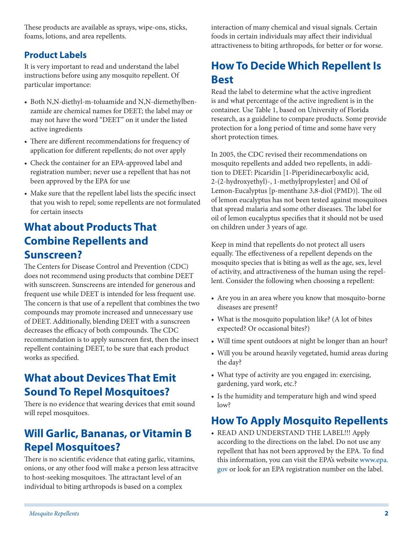These products are available as sprays, wipe-ons, sticks, foams, lotions, and area repellents.

#### **Product Labels**

It is very important to read and understand the label instructions before using any mosquito repellent. Of particular importance:

- Both N,N-diethyl-m-toluamide and N,N-diemethylbenzamide are chemical names for DEET; the label may or may not have the word "DEET" on it under the listed active ingredients
- There are different recommendations for frequency of application for different repellents; do not over apply
- Check the container for an EPA-approved label and registration number; never use a repellent that has not been approved by the EPA for use
- Make sure that the repellent label lists the specific insect that you wish to repel; some repellents are not formulated for certain insects

#### **What about Products That Combine Repellents and Sunscreen?**

The Centers for Disease Control and Prevention (CDC) does not recommend using products that combine DEET with sunscreen. Sunscreens are intended for generous and frequent use while DEET is intended for less frequent use. The concern is that use of a repellent that combines the two compounds may promote increased and unnecessary use of DEET. Additionally, blending DEET with a sunscreen decreases the efficacy of both compounds. The CDC recommendation is to apply sunscreen first, then the insect repellent containing DEET, to be sure that each product works as specified.

## **What about Devices That Emit Sound To Repel Mosquitoes?**

There is no evidence that wearing devices that emit sound will repel mosquitoes.

## **Will Garlic, Bananas, or Vitamin B Repel Mosquitoes?**

There is no scientific evidence that eating garlic, vitamins, onions, or any other food will make a person less attracitve to host-seeking mosquitoes. The attractant level of an individual to biting arthropods is based on a complex

interaction of many chemical and visual signals. Certain foods in certain individuals may affect their individual attractiveness to biting arthropods, for better or for worse.

## **How To Decide Which Repellent Is Best**

Read the label to determine what the active ingredient is and what percentage of the active ingredient is in the container. Use [Table 1](http://edis.ifas.ufl.edu/review/IN419?version=38149#TABLE_1), based on University of Florida research, as a guideline to compare products. Some provide protection for a long period of time and some have very short protection times.

In 2005, the CDC revised their recommendations on mosquito repellents and added two repellents, in addition to DEET: Picaridin [1-Piperidinecarboxylic acid, 2-(2-hydroxyethyl)-, 1-methylpropylester] and Oil of Lemon-Eucalyptus [p-menthane 3,8-diol (PMD)]. The oil of lemon eucalyptus has not been tested against mosquitoes that spread malaria and some other diseases. The label for oil of lemon eucalyptus specifies that it should not be used on children under 3 years of age.

Keep in mind that repellents do not protect all users equally. The effectiveness of a repellent depends on the mosquito species that is biting as well as the age, sex, level of activity, and attractiveness of the human using the repellent. Consider the following when choosing a repellent:

- Are you in an area where you know that mosquito-borne diseases are present?
- What is the mosquito population like? (A lot of bites expected? Or occasional bites?)
- Will time spent outdoors at night be longer than an hour?
- Will you be around heavily vegetated, humid areas during the day?
- What type of activity are you engaged in: exercising, gardening, yard work, etc.?
- Is the humidity and temperature high and wind speed low?

## **How To Apply Mosquito Repellents**

• READ AND UNDERSTAND THE LABEL!!! Apply according to the directions on the label. Do not use any repellent that has not been approved by the EPA. To find this information, you can visit the EPA's website [www.epa.](http://www.epa.gov) [gov](http://www.epa.gov) or look for an EPA registration number on the label.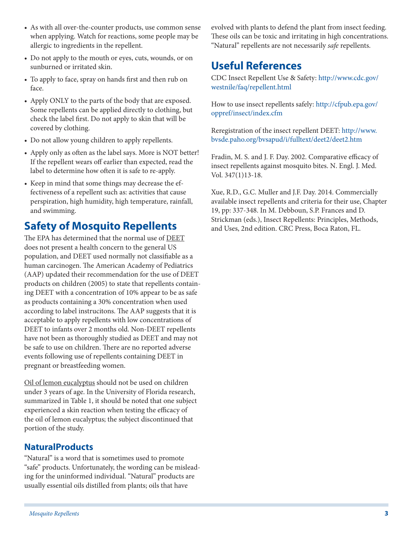- As with all over-the-counter products, use common sense when applying. Watch for reactions, some people may be allergic to ingredients in the repellent.
- Do not apply to the mouth or eyes, cuts, wounds, or on sunburned or irritated skin.
- To apply to face, spray on hands first and then rub on face.
- Apply ONLY to the parts of the body that are exposed. Some repellents can be applied directly to clothing, but check the label first. Do not apply to skin that will be covered by clothing.
- Do not allow young children to apply repellents.
- Apply only as often as the label says. More is NOT better! If the repellent wears off earlier than expected, read the label to determine how often it is safe to re-apply.
- Keep in mind that some things may decrease the effectiveness of a repellent such as: activities that cause perspiration, high humidity, high temperature, rainfall, and swimming.

#### **Safety of Mosquito Repellents**

The EPA has determined that the normal use of DEET does not present a health concern to the general US population, and DEET used normally not classifiable as a human carcinogen. The American Academy of Pediatrics (AAP) updated their recommendation for the use of DEET products on children (2005) to state that repellents containing DEET with a concentration of 10% appear to be as safe as products containing a 30% concentration when used according to label instrucitons. The AAP suggests that it is acceptable to apply repellents with low concentrations of DEET to infants over 2 months old. Non-DEET repellents have not been as thoroughly studied as DEET and may not be safe to use on children. There are no reported adverse events following use of repellents containing DEET in pregnant or breastfeeding women.

Oil of lemon eucalyptus should not be used on children under 3 years of age. In the University of Florida research, summarized in Table 1, it should be noted that one subject experienced a skin reaction when testing the efficacy of the oil of lemon eucalyptus; the subject discontinued that portion of the study.

#### **NaturalProducts**

"Natural" is a word that is sometimes used to promote "safe" products. Unfortunately, the wording can be misleading for the uninformed individual. "Natural" products are usually essential oils distilled from plants; oils that have

evolved with plants to defend the plant from insect feeding. These oils can be toxic and irritating in high concentrations. "Natural" repellents are not necessarily *safe* repellents.

#### **Useful References**

CDC Insect Repellent Use & Safety: [http://www.cdc.gov/](http://www.cdc.gov/westnile/faq/repellent.html) [westnile/faq/repellent.html](http://www.cdc.gov/westnile/faq/repellent.html)

How to use insect repellents safely: [http://cfpub.epa.gov/](http://cfpub.epa.gov/oppref/insect/index.cfm) [oppref/insect/index.cfm](http://cfpub.epa.gov/oppref/insect/index.cfm)

Reregistration of the insect repellent DEET: [http://www.](http://www.bvsde.paho.org/bvsapud/i/fulltext/deet2/deet2.htm) [bvsde.paho.org/bvsapud/i/fulltext/deet2/deet2.htm](http://www.bvsde.paho.org/bvsapud/i/fulltext/deet2/deet2.htm)

Fradin, M. S. and J. F. Day. 2002. Comparative efficacy of insect repellents against mosquito bites. N. Engl. J. Med. Vol. 347(1)13-18.

Xue, R.D., G.C. Muller and J.F. Day. 2014. Commercially available insect repellents and criteria for their use, Chapter 19, pp: 337-348. In M. Debboun, S.P. Frances and D. Strickman (eds.), Insect Repellents: Principles, Methods, and Uses, 2nd edition. CRC Press, Boca Raton, FL.